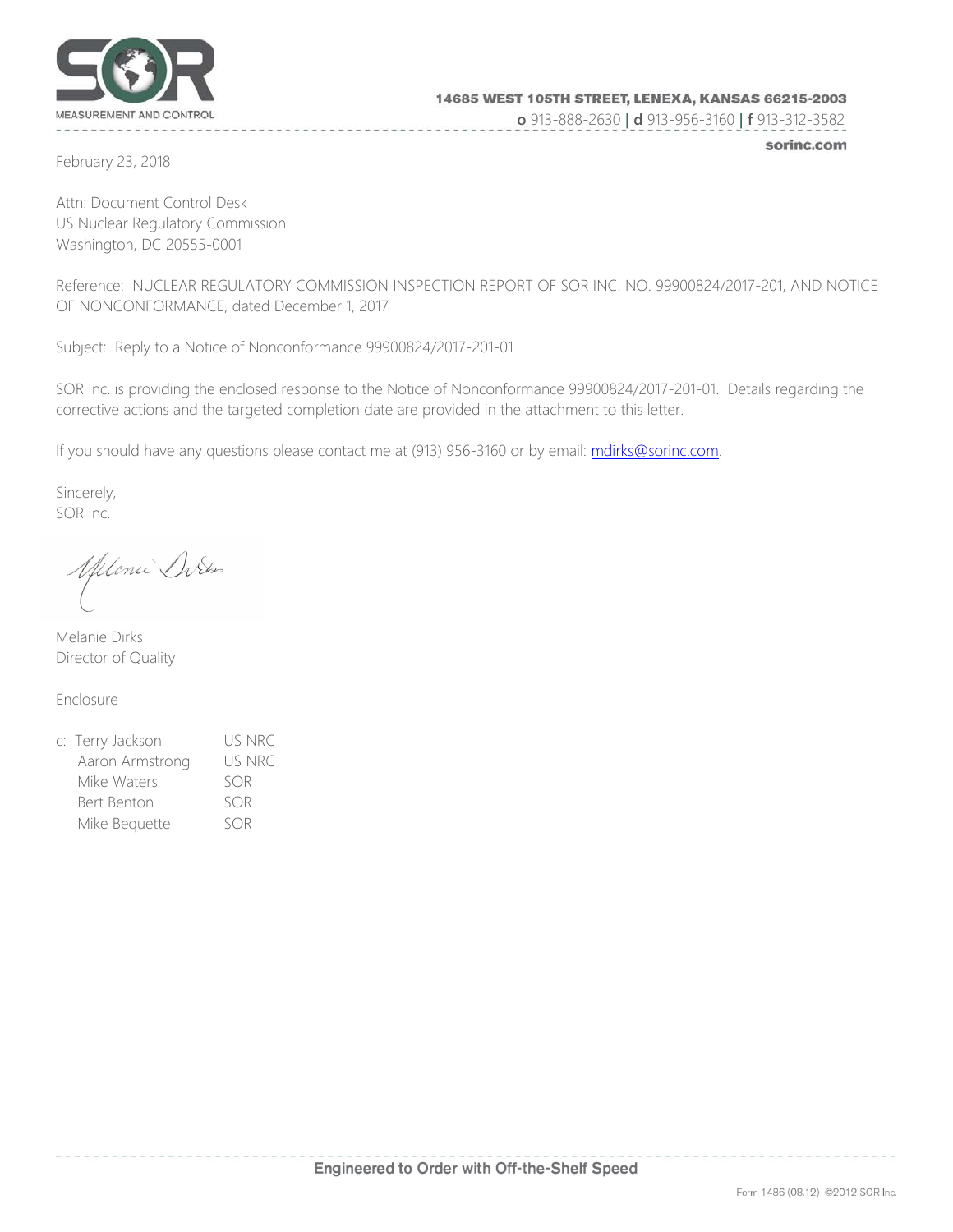

**o** 913-888-2630 **| d** 913-956-3160 **| f** 913-312-3582

February 23, 2018

sorinc.com

Attn: Document Control Desk US Nuclear Regulatory Commission Washington, DC 20555-0001

Reference: NUCLEAR REGULATORY COMMISSION INSPECTION REPORT OF SOR INC. NO. 99900824/2017-201, AND NOTICE OF NONCONFORMANCE, dated December 1, 2017

Subject: Reply to a Notice of Nonconformance 99900824/2017-201-01

SOR Inc. is providing the enclosed response to the Notice of Nonconformance 99900824/2017-201-01. Details regarding the corrective actions and the targeted completion date are provided in the attachment to this letter.

If you should have any questions please contact me at (913) 956-3160 or by email: [mdirks@sorinc.com.](mailto:mdirks@sorinc.com)

Sincerely, SOR Inc.

Melonie Ditos

Melanie Dirks Director of Quality

Enclosure

| c: Terry Jackson | US NRC |
|------------------|--------|
| Aaron Armstrong  | US NRC |
| Mike Waters      | SOR    |
| Bert Benton      | SOR    |
| Mike Bequette    | SOR    |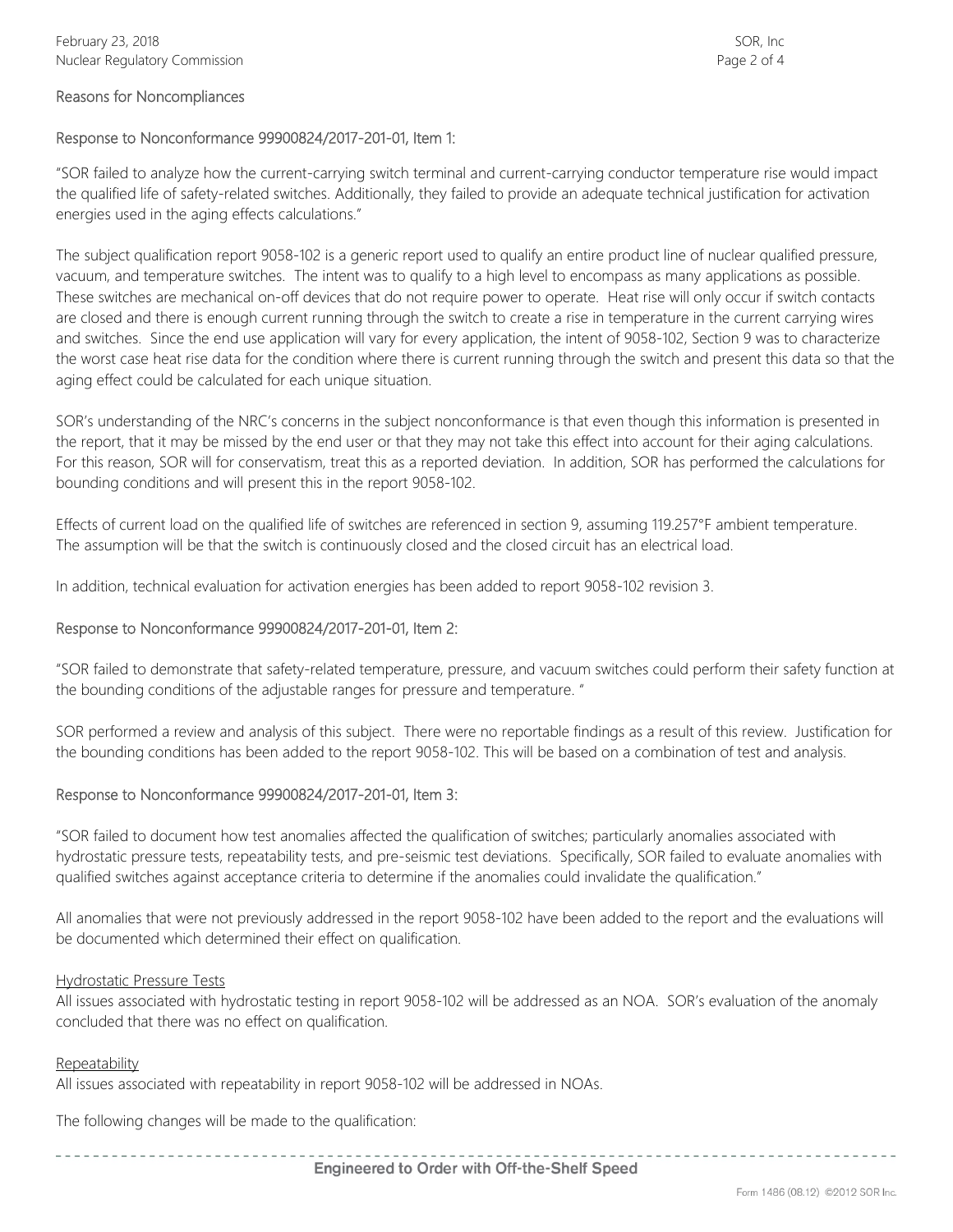#### Reasons for Noncompliances

## Response to Nonconformance 99900824/2017-201-01, Item 1:

"SOR failed to analyze how the current-carrying switch terminal and current-carrying conductor temperature rise would impact the qualified life of safety-related switches. Additionally, they failed to provide an adequate technical justification for activation energies used in the aging effects calculations."

The subject qualification report 9058-102 is a generic report used to qualify an entire product line of nuclear qualified pressure, vacuum, and temperature switches. The intent was to qualify to a high level to encompass as many applications as possible. These switches are mechanical on-off devices that do not require power to operate. Heat rise will only occur if switch contacts are closed and there is enough current running through the switch to create a rise in temperature in the current carrying wires and switches. Since the end use application will vary for every application, the intent of 9058-102, Section 9 was to characterize the worst case heat rise data for the condition where there is current running through the switch and present this data so that the aging effect could be calculated for each unique situation.

SOR's understanding of the NRC's concerns in the subject nonconformance is that even though this information is presented in the report, that it may be missed by the end user or that they may not take this effect into account for their aging calculations. For this reason, SOR will for conservatism, treat this as a reported deviation. In addition, SOR has performed the calculations for bounding conditions and will present this in the report 9058-102.

Effects of current load on the qualified life of switches are referenced in section 9, assuming 119.257°F ambient temperature. The assumption will be that the switch is continuously closed and the closed circuit has an electrical load.

In addition, technical evaluation for activation energies has been added to report 9058-102 revision 3.

#### Response to Nonconformance 99900824/2017-201-01, Item 2:

"SOR failed to demonstrate that safety-related temperature, pressure, and vacuum switches could perform their safety function at the bounding conditions of the adjustable ranges for pressure and temperature. "

SOR performed a review and analysis of this subject. There were no reportable findings as a result of this review. Justification for the bounding conditions has been added to the report 9058-102. This will be based on a combination of test and analysis.

#### Response to Nonconformance 99900824/2017-201-01, Item 3:

"SOR failed to document how test anomalies affected the qualification of switches; particularly anomalies associated with hydrostatic pressure tests, repeatability tests, and pre-seismic test deviations. Specifically, SOR failed to evaluate anomalies with qualified switches against acceptance criteria to determine if the anomalies could invalidate the qualification."

All anomalies that were not previously addressed in the report 9058-102 have been added to the report and the evaluations will be documented which determined their effect on qualification.

#### Hydrostatic Pressure Tests

All issues associated with hydrostatic testing in report 9058-102 will be addressed as an NOA. SOR's evaluation of the anomaly concluded that there was no effect on qualification.

#### Repeatability

All issues associated with repeatability in report 9058-102 will be addressed in NOAs.

The following changes will be made to the qualification: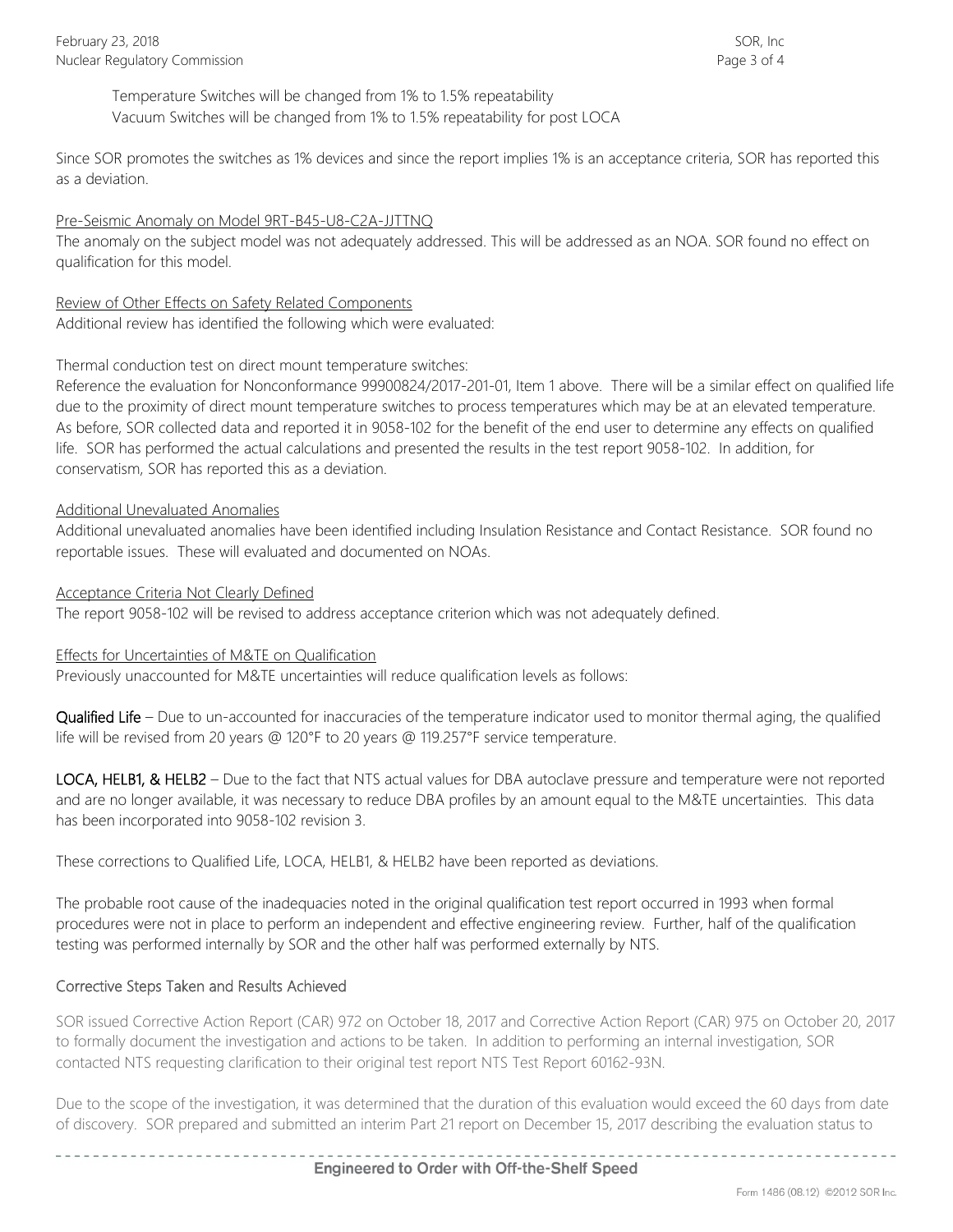Temperature Switches will be changed from 1% to 1.5% repeatability Vacuum Switches will be changed from 1% to 1.5% repeatability for post LOCA

Since SOR promotes the switches as 1% devices and since the report implies 1% is an acceptance criteria, SOR has reported this as a deviation.

## Pre-Seismic Anomaly on Model 9RT-B45-U8-C2A-JJTTNQ

The anomaly on the subject model was not adequately addressed. This will be addressed as an NOA. SOR found no effect on qualification for this model.

Review of Other Effects on Safety Related Components Additional review has identified the following which were evaluated:

# Thermal conduction test on direct mount temperature switches:

Reference the evaluation for Nonconformance 99900824/2017-201-01, Item 1 above. There will be a similar effect on qualified life due to the proximity of direct mount temperature switches to process temperatures which may be at an elevated temperature. As before, SOR collected data and reported it in 9058-102 for the benefit of the end user to determine any effects on qualified life. SOR has performed the actual calculations and presented the results in the test report 9058-102. In addition, for conservatism, SOR has reported this as a deviation.

## Additional Unevaluated Anomalies

Additional unevaluated anomalies have been identified including Insulation Resistance and Contact Resistance. SOR found no reportable issues. These will evaluated and documented on NOAs.

## Acceptance Criteria Not Clearly Defined

The report 9058-102 will be revised to address acceptance criterion which was not adequately defined.

## Effects for Uncertainties of M&TE on Qualification

Previously unaccounted for M&TE uncertainties will reduce qualification levels as follows:

Qualified Life – Due to un-accounted for inaccuracies of the temperature indicator used to monitor thermal aging, the qualified life will be revised from 20 years @ 120°F to 20 years @ 119.257°F service temperature.

LOCA, HELB1, & HELB2 – Due to the fact that NTS actual values for DBA autoclave pressure and temperature were not reported and are no longer available, it was necessary to reduce DBA profiles by an amount equal to the M&TE uncertainties. This data has been incorporated into 9058-102 revision 3.

These corrections to Qualified Life, LOCA, HELB1, & HELB2 have been reported as deviations.

The probable root cause of the inadequacies noted in the original qualification test report occurred in 1993 when formal procedures were not in place to perform an independent and effective engineering review. Further, half of the qualification testing was performed internally by SOR and the other half was performed externally by NTS.

# Corrective Steps Taken and Results Achieved

SOR issued Corrective Action Report (CAR) 972 on October 18, 2017 and Corrective Action Report (CAR) 975 on October 20, 2017 to formally document the investigation and actions to be taken. In addition to performing an internal investigation, SOR contacted NTS requesting clarification to their original test report NTS Test Report 60162-93N.

Due to the scope of the investigation, it was determined that the duration of this evaluation would exceed the 60 days from date of discovery. SOR prepared and submitted an interim Part 21 report on December 15, 2017 describing the evaluation status to